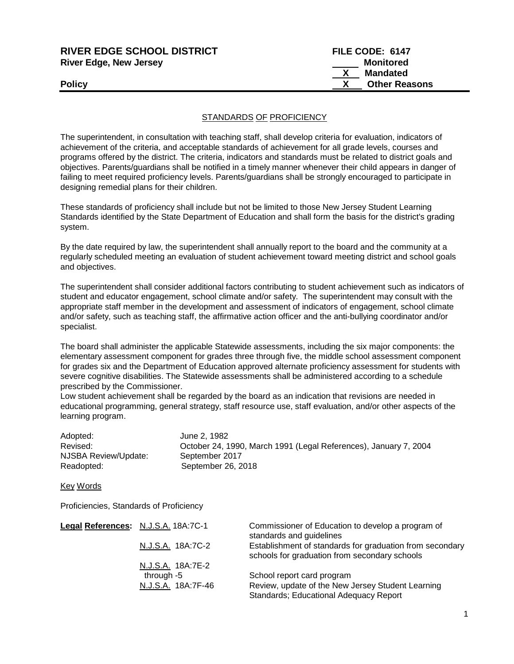| <b>RIVER EDGE SCHOOL DISTRICT</b> | FILE CODE: 6147      |
|-----------------------------------|----------------------|
| <b>River Edge, New Jersey</b>     | <b>Monitored</b>     |
|                                   | <b>Mandated</b>      |
| <b>Policy</b>                     | <b>Other Reasons</b> |
|                                   |                      |

## **STANDARDS OF PROFICIENCY**

The superintendent, in consultation with teaching staff, shall develop criteria for evaluation, indicators of achievement of the criteria, and acceptable standards of achievement for all grade levels, courses and programs offered by the district. The criteria, indicators and standards must be related to district goals and objectives. Parents/guardians shall be notified in a timely manner whenever their child appears in danger of failing to meet required proficiency levels. Parents/guardians shall be strongly encouraged to participate in designing remedial plans for their children.

These standards of proficiency shall include but not be limited to those New Jersey Student Learning Standards identified by the State Department of Education and shall form the basis for the district's grading system.

By the date required by law, the superintendent shall annually report to the board and the community at a regularly scheduled meeting an evaluation of student achievement toward meeting district and school goals and objectives.

The superintendent shall consider additional factors contributing to student achievement such as indicators of student and educator engagement, school climate and/or safety. The superintendent may consult with the appropriate staff member in the development and assessment of indicators of engagement, school climate and/or safety, such as teaching staff, the affirmative action officer and the anti-bullying coordinator and/or specialist.

The board shall administer the applicable Statewide assessments, including the six major components: the elementary assessment component for grades three through five, the middle school assessment component for grades six and the Department of Education approved alternate proficiency assessment for students with severe cognitive disabilities. The Statewide assessments shall be administered according to a schedule prescribed by the Commissioner.

Low student achievement shall be regarded by the board as an indication that revisions are needed in educational programming, general strategy, staff resource use, staff evaluation, and/or other aspects of the learning program.

| Adopted:             | June 2, 1982                                                     |
|----------------------|------------------------------------------------------------------|
| Revised:             | October 24, 1990, March 1991 (Legal References), January 7, 2004 |
| NJSBA Review/Update: | September 2017                                                   |
| Readopted:           | September 26, 2018                                               |

Key Words

Proficiencies, Standards of Proficiency

| Legal References: N.J.S.A. 18A:7C-1 |                    | Commissioner of Education to develop a program of<br>standards and guidelines                             |
|-------------------------------------|--------------------|-----------------------------------------------------------------------------------------------------------|
|                                     | N.J.S.A. 18A:7C-2  | Establishment of standards for graduation from secondary<br>schools for graduation from secondary schools |
|                                     | N.J.S.A. 18A:7E-2  |                                                                                                           |
|                                     | through $-5$       | School report card program                                                                                |
|                                     | N.J.S.A. 18A:7F-46 | Review, update of the New Jersey Student Learning<br>Standards; Educational Adequacy Report               |